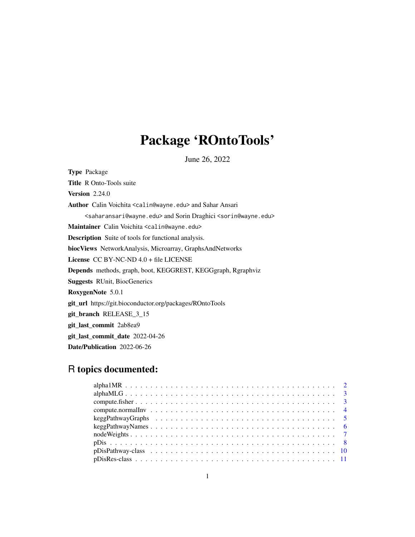# Package 'ROntoTools'

June 26, 2022

<span id="page-0-0"></span>Type Package Title R Onto-Tools suite **Version 2.24.0** Author Calin Voichita <calin@wayne.edu> and Sahar Ansari <saharansari@wayne.edu> and Sorin Draghici <sorin@wayne.edu> Maintainer Calin Voichita <calin@wayne.edu> Description Suite of tools for functional analysis. biocViews NetworkAnalysis, Microarray, GraphsAndNetworks License CC BY-NC-ND 4.0 + file LICENSE Depends methods, graph, boot, KEGGREST, KEGGgraph, Rgraphviz Suggests RUnit, BiocGenerics RoxygenNote 5.0.1 git\_url https://git.bioconductor.org/packages/ROntoTools git\_branch RELEASE\_3\_15 git\_last\_commit 2ab8ea9 git\_last\_commit\_date 2022-04-26 Date/Publication 2022-06-26

# R topics documented:

| $nodeWeights \ldots \ldots \ldots \ldots \ldots \ldots \ldots \ldots \ldots \ldots \ldots \ldots \ldots 7$ |  |
|------------------------------------------------------------------------------------------------------------|--|
|                                                                                                            |  |
|                                                                                                            |  |
|                                                                                                            |  |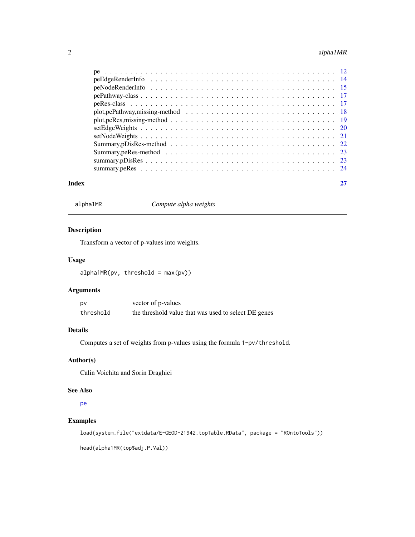# <span id="page-1-0"></span>2 alpha1MR

| Index |  |
|-------|--|
|       |  |
|       |  |
|       |  |
|       |  |
|       |  |
|       |  |
|       |  |
|       |  |
|       |  |
|       |  |
|       |  |
|       |  |
|       |  |

alpha1MR *Compute alpha weights*

# Description

Transform a vector of p-values into weights.

# Usage

 $alpha1MR(pv, threshold = max(pv))$ 

# Arguments

| p٧        | vector of p-values                                   |
|-----------|------------------------------------------------------|
| threshold | the threshold value that was used to select DE genes |

# Details

Computes a set of weights from p-values using the formula 1-pv/threshold.

# Author(s)

Calin Voichita and Sorin Draghici

### See Also

[pe](#page-11-1)

# Examples

load(system.file("extdata/E-GEOD-21942.topTable.RData", package = "ROntoTools"))

head(alpha1MR(top\$adj.P.Val))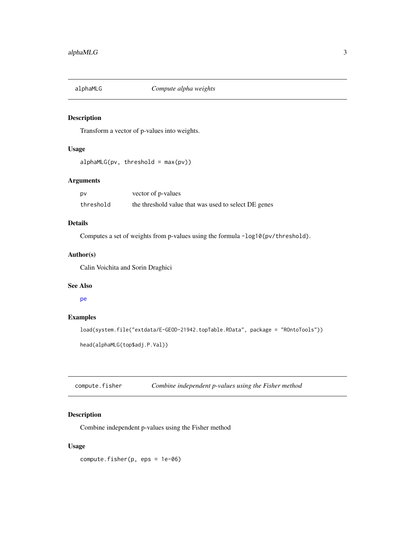<span id="page-2-0"></span>

# Description

Transform a vector of p-values into weights.

# Usage

 $alphaMLG(pv, threshold = max(pv))$ 

# Arguments

| p٧        | vector of p-values                                   |
|-----------|------------------------------------------------------|
| threshold | the threshold value that was used to select DE genes |

# Details

Computes a set of weights from p-values using the formula -log10(pv/threshold).

# Author(s)

Calin Voichita and Sorin Draghici

### See Also

[pe](#page-11-1)

# Examples

```
load(system.file("extdata/E-GEOD-21942.topTable.RData", package = "ROntoTools"))
```

```
head(alphaMLG(top$adj.P.Val))
```
<span id="page-2-1"></span>compute.fisher *Combine independent p-values using the Fisher method*

# Description

Combine independent p-values using the Fisher method

# Usage

compute.fisher(p, eps = 1e-06)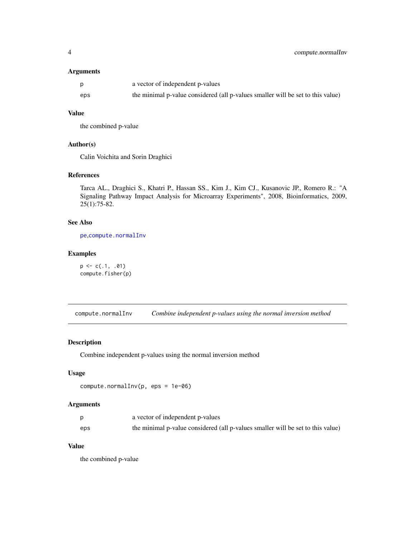# <span id="page-3-0"></span>Arguments

|     | a vector of independent p-values                                                |
|-----|---------------------------------------------------------------------------------|
| eps | the minimal p-value considered (all p-values smaller will be set to this value) |

# Value

the combined p-value

### Author(s)

Calin Voichita and Sorin Draghici

# References

Tarca AL., Draghici S., Khatri P., Hassan SS., Kim J., Kim CJ., Kusanovic JP., Romero R.: "A Signaling Pathway Impact Analysis for Microarray Experiments", 2008, Bioinformatics, 2009, 25(1):75-82.

# See Also

[pe](#page-11-1),[compute.normalInv](#page-3-1)

# Examples

 $p \leftarrow c(.1, .01)$ compute.fisher(p)

<span id="page-3-1"></span>compute.normalInv *Combine independent p-values using the normal inversion method*

### Description

Combine independent p-values using the normal inversion method

# Usage

```
compute.normalInv(p, eps = 1e-06)
```
### Arguments

|     | a vector of independent p-values                                                |
|-----|---------------------------------------------------------------------------------|
| eps | the minimal p-value considered (all p-values smaller will be set to this value) |

# Value

the combined p-value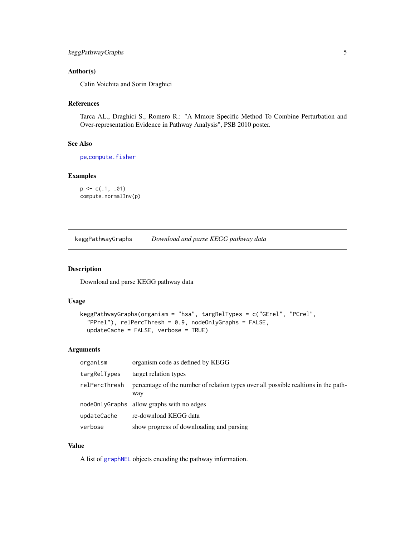# <span id="page-4-0"></span>keggPathwayGraphs 5

# Author(s)

Calin Voichita and Sorin Draghici

### References

Tarca AL., Draghici S., Romero R.: "A Mmore Specific Method To Combine Perturbation and Over-representation Evidence in Pathway Analysis", PSB 2010 poster.

# See Also

[pe](#page-11-1), [compute.fisher](#page-2-1)

# Examples

```
p \leftarrow c(.1, .01)compute.normalInv(p)
```
<span id="page-4-1"></span>keggPathwayGraphs *Download and parse KEGG pathway data*

# Description

Download and parse KEGG pathway data

# Usage

```
keggPathwayGraphs(organism = "hsa", targRelTypes = c("GErel", "PCrel",
 "PPrel"), relPercThresh = 0.9, nodeOnlyGraphs = FALSE,
 updateCache = FALSE, verbose = TRUE)
```
# Arguments

| organism      | organism code as defined by KEGG                                                           |
|---------------|--------------------------------------------------------------------------------------------|
| targRelTypes  | target relation types                                                                      |
| relPercThresh | percentage of the number of relation types over all possible realtions in the path-<br>way |
|               | nodeOnlyGraphs allow graphs with no edges                                                  |
| updateCache   | re-download KEGG data                                                                      |
| verbose       | show progress of downloading and parsing                                                   |

### Value

A list of [graphNEL](#page-0-0) objects encoding the pathway information.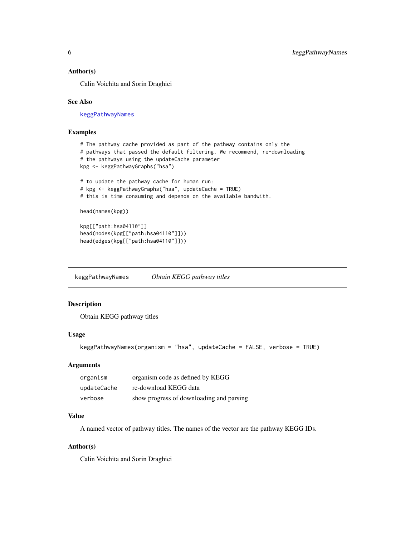### <span id="page-5-0"></span>Author(s)

Calin Voichita and Sorin Draghici

### See Also

[keggPathwayNames](#page-5-1)

# Examples

```
# The pathway cache provided as part of the pathway contains only the
# pathways that passed the default filtering. We recommend, re-downloading
# the pathways using the updateCache parameter
kpg <- keggPathwayGraphs("hsa")
# to update the pathway cache for human run:
# kpg <- keggPathwayGraphs("hsa", updateCache = TRUE)
# this is time consuming and depends on the available bandwith.
head(names(kpg))
kpg[["path:hsa04110"]]
head(nodes(kpg[["path:hsa04110"]]))
head(edges(kpg[["path:hsa04110"]]))
```
<span id="page-5-1"></span>keggPathwayNames *Obtain KEGG pathway titles*

### Description

Obtain KEGG pathway titles

# Usage

keggPathwayNames(organism = "hsa", updateCache = FALSE, verbose = TRUE)

### Arguments

| organism    | organism code as defined by KEGG         |
|-------------|------------------------------------------|
| updateCache | re-download KEGG data                    |
| verbose     | show progress of downloading and parsing |

# Value

A named vector of pathway titles. The names of the vector are the pathway KEGG IDs.

# Author(s)

Calin Voichita and Sorin Draghici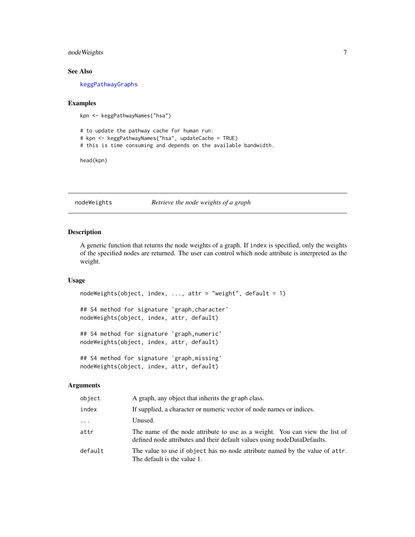# <span id="page-6-0"></span>nodeWeights 7

# See Also

[keggPathwayGraphs](#page-4-1)

# Examples

```
kpn <- keggPathwayNames("hsa")
```
# to update the pathway cache for human run: # kpn <- keggPathwayNames("hsa", updateCache = TRUE) # this is time consuming and depends on the available bandwidth.

head(kpn)

# nodeWeights *Retrieve the node weights of a graph*

### Description

A generic function that returns the node weights of a graph. If index is specified, only the weights of the specified nodes are returned. The user can control which node attribute is interpreted as the weight.

### Usage

```
nodeWeights(object, index, ..., attr = "weight", default = 1)
## S4 method for signature 'graph,character'
nodeWeights(object, index, attr, default)
## S4 method for signature 'graph,numeric'
nodeWeights(object, index, attr, default)
```

```
## S4 method for signature 'graph,missing'
nodeWeights(object, index, attr, default)
```
# Arguments

| object   | A graph, any object that inherits the graph class.                                                                                                      |
|----------|---------------------------------------------------------------------------------------------------------------------------------------------------------|
| index    | If supplied, a character or numeric vector of node names or indices.                                                                                    |
| $\cdots$ | Unused.                                                                                                                                                 |
| attr     | The name of the node attribute to use as a weight. You can view the list of<br>defined node attributes and their default values using nodeDataDefaults. |
| default  | The value to use if object has no node attribute named by the value of attr.<br>The default is the value 1.                                             |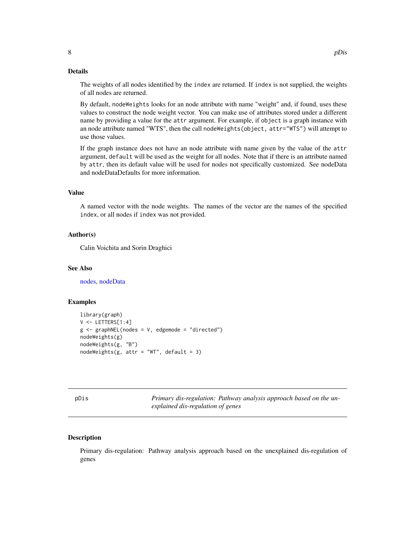### <span id="page-7-0"></span>Details

The weights of all nodes identified by the index are returned. If index is not supplied, the weights of all nodes are returned.

By default, nodeWeights looks for an node attribute with name "weight" and, if found, uses these values to construct the node weight vector. You can make use of attributes stored under a different name by providing a value for the attr argument. For example, if object is a graph instance with an node attribute named "WTS", then the call nodeWeights(object, attr="WTS") will attempt to use those values.

If the graph instance does not have an node attribute with name given by the value of the attr argument, default will be used as the weight for all nodes. Note that if there is an attribute named by attr, then its default value will be used for nodes not specifically customized. See nodeData and nodeDataDefaults for more information.

# Value

A named vector with the node weights. The names of the vector are the names of the specified index, or all nodes if index was not provided.

# Author(s)

Calin Voichita and Sorin Draghici

### See Also

[nodes,](#page-0-0) [nodeData](#page-0-0)

# Examples

```
library(graph)
V < - LETTERS[1:4]
g \leftarrow graphNEL(nodes = V, edgemode = "directed")
nodeWeights(g)
nodeWeights(g, "B")
nodeWeights(g, attr = "WT", default = 3)
```
<span id="page-7-1"></span>

pDis *Primary dis-regulation: Pathway analysis approach based on the unexplained dis-regulation of genes*

### **Description**

Primary dis-regulation: Pathway analysis approach based on the unexplained dis-regulation of genes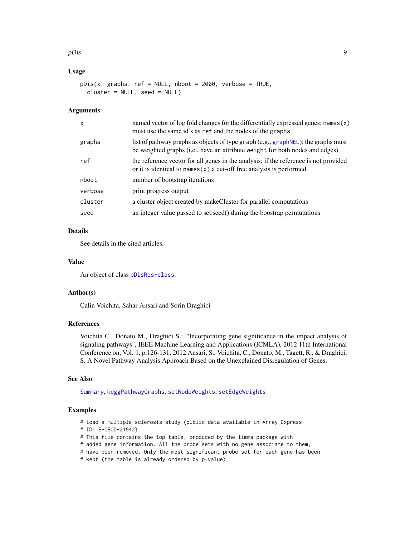### <span id="page-8-0"></span>pDis 9

# Usage

```
pDis(x, graphs, ref = NULL, nboot = 2000, verbose = TRUE,cluster = NULL, seed = NULL)
```
### Arguments

| $\mathsf{x}$ | named vector of log fold changes for the differentially expressed genes; names (x)<br>must use the same id's as ref and the nodes of the graphs                   |
|--------------|-------------------------------------------------------------------------------------------------------------------------------------------------------------------|
| graphs       | list of pathway graphs as objects of type graph (e.g., graphNEL); the graphs must<br>be weighted graphs (i.e., have an attribute weight for both nodes and edges) |
| ref          | the reference vector for all genes in the analysis; if the reference is not provided<br>or it is identical to names $(x)$ a cut-off free analysis is performed    |
| nboot        | number of bootstrap iterations                                                                                                                                    |
| verbose      | print progress output                                                                                                                                             |
| cluster      | a cluster object created by makeCluster for parallel computations                                                                                                 |
| seed         | an integer value passed to set seed () during the boostrap permutations                                                                                           |

### Details

See details in the cited articles.

# Value

An object of class [pDisRes-class](#page-10-1).

### Author(s)

Calin Voichita, Sahar Ansari and Sorin Draghici

### References

Voichita C., Donato M., Draghici S.: "Incorporating gene significance in the impact analysis of signaling pathways", IEEE Machine Learning and Applications (ICMLA), 2012 11th International Conference on, Vol. 1, p.126-131, 2012 Ansari, S., Voichita, C., Donato, M., Tagett, R., & Draghici, S. A Novel Pathway Analysis Approach Based on the Unexplained Disregulation of Genes.

# See Also

[Summary](#page-0-0), [keggPathwayGraphs](#page-4-1), [setNodeWeights](#page-20-1), [setEdgeWeights](#page-19-1)

### Examples

# load a multiple sclerosis study (public data available in Array Express

# ID: E-GEOD-21942)

# This file contains the top table, produced by the limma package with

- # added gene information. All the probe sets with no gene associate to them,
- # have been removed. Only the most significant probe set for each gene has been
- # kept (the table is already ordered by p-value)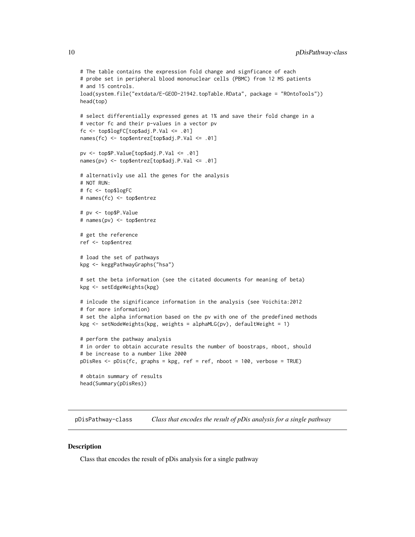```
# The table contains the expression fold change and signficance of each
# probe set in peripheral blood mononuclear cells (PBMC) from 12 MS patients
# and 15 controls.
load(system.file("extdata/E-GEOD-21942.topTable.RData", package = "ROntoTools"))
head(top)
# select differentially expressed genes at 1% and save their fold change in a
# vector fc and their p-values in a vector pv
fc <- top$logFC[top$adj.P.Val <= .01]
names(fc) <- top$entrez[top$adj.P.Val <= .01]
pv <- top$P.Value[top$adj.P.Val <= .01]
names(pv) <- top$entrez[top$adj.P.Val <= .01]
# alternativly use all the genes for the analysis
# NOT RUN:
# fc <- top$logFC
# names(fc) <- top$entrez
# pv <- top$P.Value
# names(pv) <- top$entrez
# get the reference
ref <- top$entrez
# load the set of pathways
kpg <- keggPathwayGraphs("hsa")
# set the beta information (see the citated documents for meaning of beta)
kpg <- setEdgeWeights(kpg)
# inlcude the significance information in the analysis (see Voichita:2012
# for more information)
# set the alpha information based on the pv with one of the predefined methods
kpg \le setNodeWeights(kpg, weights = alphaMLG(pv), defaultWeight = 1)
# perform the pathway analysis
# in order to obtain accurate results the number of boostraps, nboot, should
# be increase to a number like 2000
pDisRes <- pDis(fc, graphs = kpg, ref = ref, nboot = 100, verbose = TRUE)
# obtain summary of results
head(Summary(pDisRes))
```
<span id="page-9-1"></span>pDisPathway-class *Class that encodes the result of pDis analysis for a single pathway*

### **Description**

Class that encodes the result of pDis analysis for a single pathway

<span id="page-9-0"></span>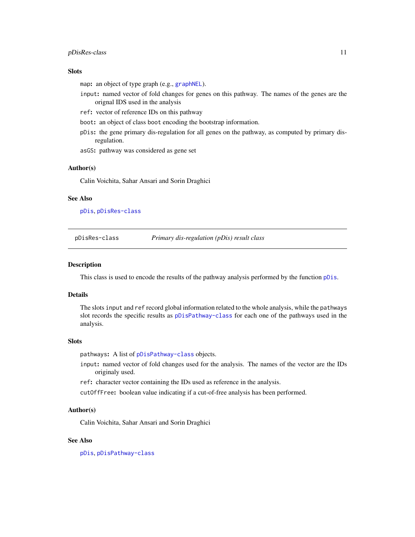### <span id="page-10-0"></span>pDisRes-class 11

# **Slots**

map: an object of type graph (e.g., [graphNEL](#page-0-0)).

- input: named vector of fold changes for genes on this pathway. The names of the genes are the orignal IDS used in the analysis
- ref: vector of reference IDs on this pathway
- boot: an object of class boot encoding the bootstrap information.
- pDis: the gene primary dis-regulation for all genes on the pathway, as computed by primary disregulation.
- asGS: pathway was considered as gene set

### Author(s)

Calin Voichita, Sahar Ansari and Sorin Draghici

### See Also

[pDis](#page-7-1), [pDisRes-class](#page-10-1)

<span id="page-10-1"></span>pDisRes-class *Primary dis-regulation (pDis) result class*

### Description

This class is used to encode the results of the pathway analysis performed by the function [pDis](#page-7-1).

# Details

The slots input and ref record global information related to the whole analysis, while the pathways slot records the specific results as [pDisPathway-class](#page-9-1) for each one of the pathways used in the analysis.

### Slots

pathways: A list of [pDisPathway-class](#page-9-1) objects.

- input: named vector of fold changes used for the analysis. The names of the vector are the IDs originaly used.
- ref: character vector containing the IDs used as reference in the analysis.
- cutOffFree: boolean value indicating if a cut-of-free analysis has been performed.

### Author(s)

Calin Voichita, Sahar Ansari and Sorin Draghici

### See Also

[pDis](#page-7-1), [pDisPathway-class](#page-9-1)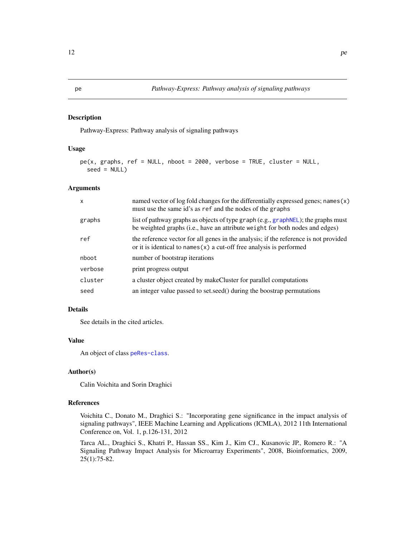### <span id="page-11-1"></span><span id="page-11-0"></span>Description

Pathway-Express: Pathway analysis of signaling pathways

# Usage

```
pe(x, graphs, ref = NULL, nboot = 2000, verbose = TRUE, cluster = NULL,seed = NULL)
```
### Arguments

| $\mathsf{x}$ | named vector of log fold changes for the differentially expressed genes; names (x)<br>must use the same id's as ref and the nodes of the graphs                   |
|--------------|-------------------------------------------------------------------------------------------------------------------------------------------------------------------|
| graphs       | list of pathway graphs as objects of type graph (e.g., graphNEL); the graphs must<br>be weighted graphs (i.e., have an attribute weight for both nodes and edges) |
| ref          | the reference vector for all genes in the analysis; if the reference is not provided<br>or it is identical to names $(x)$ a cut-off free analysis is performed    |
| nboot        | number of bootstrap iterations                                                                                                                                    |
| verbose      | print progress output                                                                                                                                             |
| cluster      | a cluster object created by makeCluster for parallel computations                                                                                                 |
| seed         | an integer value passed to set.seed() during the boostrap permutations                                                                                            |

# Details

See details in the cited articles.

# Value

An object of class [peRes-class](#page-16-1).

### Author(s)

Calin Voichita and Sorin Draghici

# References

Voichita C., Donato M., Draghici S.: "Incorporating gene significance in the impact analysis of signaling pathways", IEEE Machine Learning and Applications (ICMLA), 2012 11th International Conference on, Vol. 1, p.126-131, 2012

Tarca AL., Draghici S., Khatri P., Hassan SS., Kim J., Kim CJ., Kusanovic JP., Romero R.: "A Signaling Pathway Impact Analysis for Microarray Experiments", 2008, Bioinformatics, 2009, 25(1):75-82.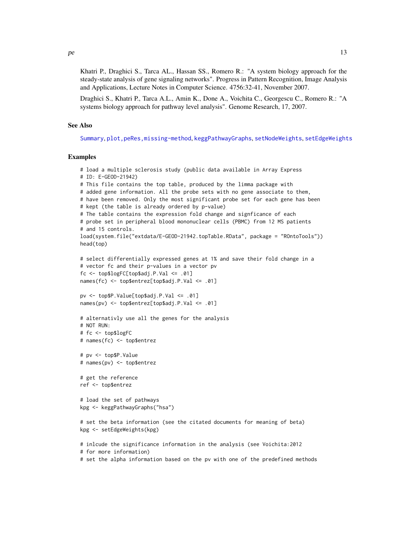<span id="page-12-0"></span>Khatri P., Draghici S., Tarca AL., Hassan SS., Romero R.: "A system biology approach for the steady-state analysis of gene signaling networks". Progress in Pattern Recognition, Image Analysis and Applications, Lecture Notes in Computer Science. 4756:32-41, November 2007.

Draghici S., Khatri P., Tarca A.L., Amin K., Done A., Voichita C., Georgescu C., Romero R.: "A systems biology approach for pathway level analysis". Genome Research, 17, 2007.

### See Also

[Summary](#page-0-0), [plot,peRes,missing-method](#page-0-0), [keggPathwayGraphs](#page-4-1), [setNodeWeights](#page-20-1), [setEdgeWeights](#page-19-1)

### Examples

```
# load a multiple sclerosis study (public data available in Array Express
# ID: E-GEOD-21942)
# This file contains the top table, produced by the limma package with
# added gene information. All the probe sets with no gene associate to them,
# have been removed. Only the most significant probe set for each gene has been
# kept (the table is already ordered by p-value)
# The table contains the expression fold change and signficance of each
# probe set in peripheral blood mononuclear cells (PBMC) from 12 MS patients
# and 15 controls.
load(system.file("extdata/E-GEOD-21942.topTable.RData", package = "ROntoTools"))
head(top)
# select differentially expressed genes at 1% and save their fold change in a
# vector fc and their p-values in a vector pv
fc \leq -top\ top\ C[top\ Id . P. Val \leq .01names(fc) <- top$entrez[top$adj.P.Val <= .01]
pv <- top$P.Value[top$adj.P.Val <= .01]
names(pv) <- top$entrez[top$adj.P.Val <= .01]
# alternativly use all the genes for the analysis
# NOT RUN:
# fc <- top$logFC
# names(fc) <- top$entrez
# pv <- top$P.Value
# names(pv) <- top$entrez
# get the reference
ref <- top$entrez
# load the set of pathways
kpg <- keggPathwayGraphs("hsa")
# set the beta information (see the citated documents for meaning of beta)
kpg <- setEdgeWeights(kpg)
# inlcude the significance information in the analysis (see Voichita:2012
# for more information)
```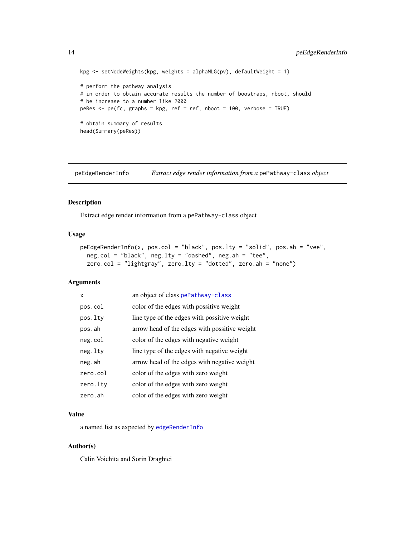```
kpg \le setNodeWeights(kpg, weights = alphaMLG(pv), defaultWeight = 1)
# perform the pathway analysis
# in order to obtain accurate results the number of boostraps, nboot, should
# be increase to a number like 2000
peRes <- pe(fc, graphs = kpg, ref = ref, nboot = 100, verbose = TRUE)
# obtain summary of results
head(Summary(peRes))
```
<span id="page-13-1"></span>peEdgeRenderInfo *Extract edge render information from a* pePathway-class *object*

### Description

Extract edge render information from a pePathway-class object

# Usage

```
peEdgeRenderInfo(x, pos.col = "black", pos.lty = "solid", pos.ah = "vee",
  neg.col = "black", neg.lty = "dashed", neg ah = "tee",zero.col = "lightgray", zero.lty = "dotted", zero.ah = "none")
```
### Arguments

| X        | an object of class pePathway-class            |
|----------|-----------------------------------------------|
| pos.col  | color of the edges with possitive weight      |
| pos.lty  | line type of the edges with possitive weight  |
| pos.ah   | arrow head of the edges with possitive weight |
| neg.col  | color of the edges with negative weight       |
| neg.lty  | line type of the edges with negative weight   |
| neg.ah   | arrow head of the edges with negative weight  |
| zero.col | color of the edges with zero weight           |
| zero.ltv | color of the edges with zero weight           |
| zero.ah  | color of the edges with zero weight           |

# Value

a named list as expected by [edgeRenderInfo](#page-0-0)

### Author(s)

Calin Voichita and Sorin Draghici

<span id="page-13-0"></span>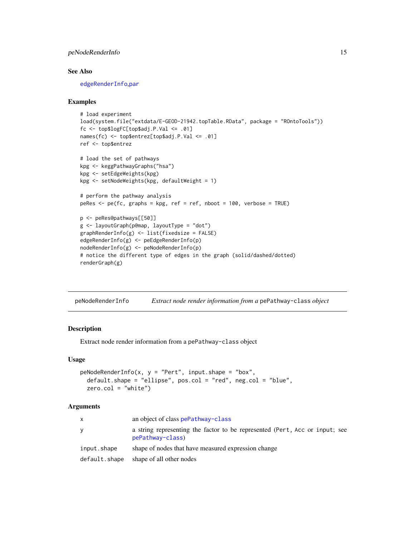# <span id="page-14-0"></span>peNodeRenderInfo 15

### See Also

[edgeRenderInfo](#page-0-0),[par](#page-0-0)

### Examples

```
# load experiment
load(system.file("extdata/E-GEOD-21942.topTable.RData", package = "ROntoTools"))
fc <- top$logFC[top$adj.P.Val <= .01]
names(fc) <- top$entrez[top$adj.P.Val <= .01]
ref <- top$entrez
# load the set of pathways
kpg <- keggPathwayGraphs("hsa")
kpg <- setEdgeWeights(kpg)
kpg <- setNodeWeights(kpg, defaultWeight = 1)
# perform the pathway analysis
peRes \leq pe(fc, graphs = kpg, ref = ref, nboot = 100, verbose = TRUE)
p <- peRes@pathways[[50]]
g <- layoutGraph(p@map, layoutType = "dot")
graphRenderInfo(g) <- list(fixedsize = FALSE)
edgeRenderInfo(g) <- peEdgeRenderInfo(p)
nodeRenderInfo(g) <- peNodeRenderInfo(p)
# notice the different type of edges in the graph (solid/dashed/dotted)
renderGraph(g)
```
<span id="page-14-1"></span>peNodeRenderInfo *Extract node render information from a* pePathway-class *object*

### **Description**

Extract node render information from a pePathway-class object

### Usage

```
peNodeRenderInfo(x, y = "Pert", input.shape = "box",default.shape = "ellipse", pos.col = "red", neg.col = "blue",
 zero.col = "white")
```
### Arguments

| $\mathsf{x}$  | an object of class pePathway-class                                                              |
|---------------|-------------------------------------------------------------------------------------------------|
| y             | a string representing the factor to be represented (Pert, Acc or input; see<br>pePathway-class) |
| input.shape   | shape of nodes that have measured expression change                                             |
| default.shape | shape of all other nodes                                                                        |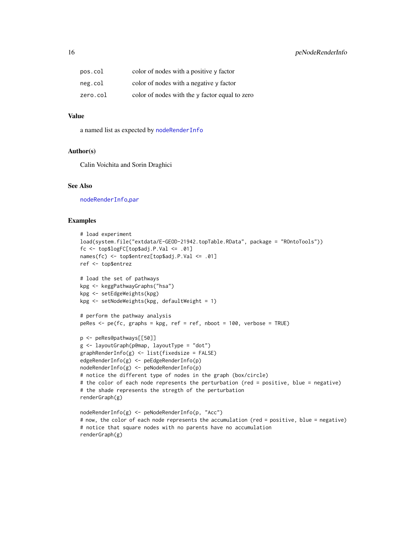<span id="page-15-0"></span>

| pos.col  | color of nodes with a positive y factor        |
|----------|------------------------------------------------|
| neg.col  | color of nodes with a negative y factor        |
| zero.col | color of nodes with the y factor equal to zero |

# Value

a named list as expected by [nodeRenderInfo](#page-0-0)

### Author(s)

Calin Voichita and Sorin Draghici

### See Also

[nodeRenderInfo](#page-0-0),[par](#page-0-0)

# Examples

```
# load experiment
load(system.file("extdata/E-GEOD-21942.topTable.RData", package = "ROntoTools"))
fc <- top$logFC[top$adj.P.Val <= .01]
names(fc) <- top$entrez[top$adj.P.Val <= .01]
ref <- top$entrez
# load the set of pathways
kpg <- keggPathwayGraphs("hsa")
kpg <- setEdgeWeights(kpg)
kpg <- setNodeWeights(kpg, defaultWeight = 1)
# perform the pathway analysis
peRes <- pe(fc, graphs = kpg, ref = ref, nboot = 100, verbose = TRUE)
p <- peRes@pathways[[50]]
g <- layoutGraph(p@map, layoutType = "dot")
graphRenderInfo(g) <- list(fixedsize = FALSE)
edgeRenderInfo(g) <- peEdgeRenderInfo(p)
nodeRenderInfo(g) <- peNodeRenderInfo(p)
# notice the different type of nodes in the graph (box/circle)
# the color of each node represents the perturbation (red = positive, blue = negative)
# the shade represents the stregth of the perturbation
renderGraph(g)
nodeRenderInfo(g) <- peNodeRenderInfo(p, "Acc")
# now, the color of each node represents the accumulation (red = positive, blue = negative)
# notice that square nodes with no parents have no accumulation
renderGraph(g)
```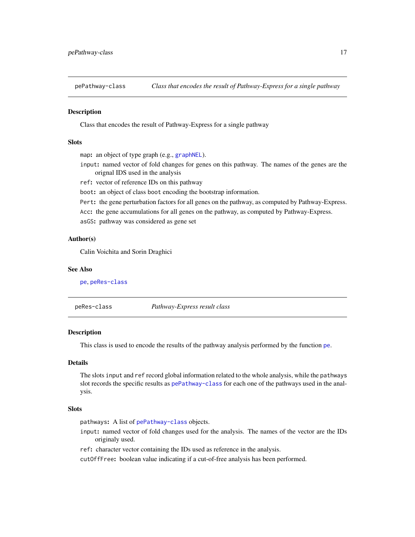<span id="page-16-2"></span><span id="page-16-0"></span>

# Description

Class that encodes the result of Pathway-Express for a single pathway

# **Slots**

```
graphNEL).
```
- input: named vector of fold changes for genes on this pathway. The names of the genes are the orignal IDS used in the analysis
- ref: vector of reference IDs on this pathway

boot: an object of class boot encoding the bootstrap information.

Pert: the gene perturbation factors for all genes on the pathway, as computed by Pathway-Express.

Acc: the gene accumulations for all genes on the pathway, as computed by Pathway-Express.

asGS: pathway was considered as gene set

# Author(s)

Calin Voichita and Sorin Draghici

### See Also

[pe](#page-11-1), [peRes-class](#page-16-1)

<span id="page-16-1"></span>

| peRes-class | Pathway-Express result class |  |  |
|-------------|------------------------------|--|--|
|-------------|------------------------------|--|--|

### **Description**

This class is used to encode the results of the pathway analysis performed by the function [pe](#page-11-1).

# Details

The slots input and ref record global information related to the whole analysis, while the pathways slot records the specific results as [pePathway-class](#page-16-2) for each one of the pathways used in the analysis.

### Slots

pathways: A list of [pePathway-class](#page-16-2) objects.

input: named vector of fold changes used for the analysis. The names of the vector are the IDs originaly used.

ref: character vector containing the IDs used as reference in the analysis.

cutOffFree: boolean value indicating if a cut-of-free analysis has been performed.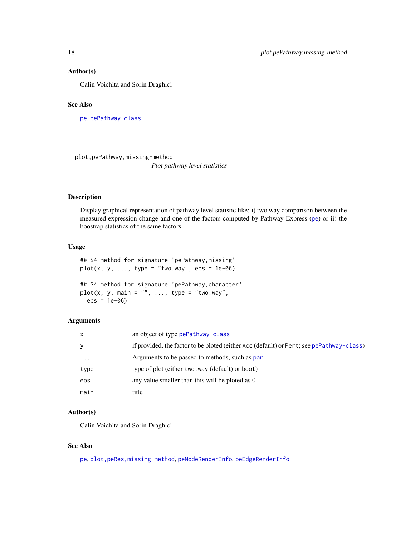### <span id="page-17-0"></span>Author(s)

Calin Voichita and Sorin Draghici

# See Also

[pe](#page-11-1), [pePathway-class](#page-16-2)

plot,pePathway,missing-method *Plot pathway level statistics*

# Description

Display graphical representation of pathway level statistic like: i) two way comparison between the measured expression change and one of the factors computed by Pathway-Express ([pe](#page-11-1)) or ii) the boostrap statistics of the same factors.

### Usage

```
## S4 method for signature 'pePathway,missing'
plot(x, y, ..., type = "two-way",eps = 1e-06)## S4 method for signature 'pePathway,character'
plot(x, y, main = "", ..., type = "two-way",eps = 1e-06)
```
# Arguments

| $\mathsf{x}$ | an object of type pePathway-class                                                        |
|--------------|------------------------------------------------------------------------------------------|
| y            | if provided, the factor to be ploted (either Acc (default) or Pert; see pePathway-class) |
| $\cdots$     | Arguments to be passed to methods, such as par                                           |
| type         | type of plot (either two.way (default) or boot)                                          |
| eps          | any value smaller than this will be ploted as 0                                          |
| main         | title                                                                                    |

### Author(s)

Calin Voichita and Sorin Draghici

### See Also

[pe](#page-11-1), plot, peRes, missing-method, [peNodeRenderInfo](#page-14-1), [peEdgeRenderInfo](#page-13-1)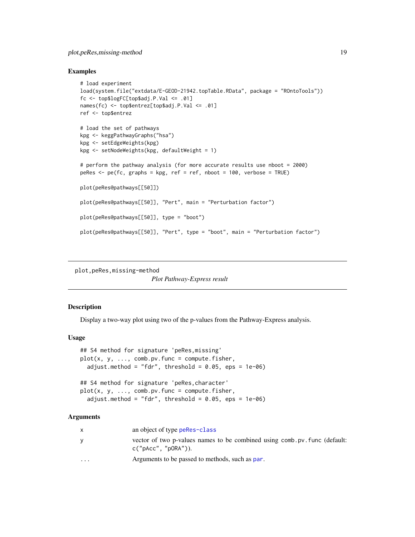# <span id="page-18-0"></span>plot,peRes,missing-method 19

### Examples

```
# load experiment
load(system.file("extdata/E-GEOD-21942.topTable.RData", package = "ROntoTools"))
fc \leq -top\ top\ C[top\ Id . P. Val \leq .01names(fc) <- top$entrez[top$adj.P.Val <= .01]
ref <- top$entrez
# load the set of pathways
kpg <- keggPathwayGraphs("hsa")
kpg <- setEdgeWeights(kpg)
kpg <- setNodeWeights(kpg, defaultWeight = 1)
# perform the pathway analysis (for more accurate results use nboot = 2000)
peRes <- pe(fc, graphs = kpg, ref = ref, nboot = 100, verbose = TRUE)
plot(peRes@pathways[[50]])
plot(peRes@pathways[[50]], "Pert", main = "Perturbation factor")
plot(peRes@pathways[[50]], type = "boot")
plot(peRes@pathways[[50]], "Pert", type = "boot", main = "Perturbation factor")
```

```
plot,peRes,missing-method
```
*Plot Pathway-Express result*

### **Description**

Display a two-way plot using two of the p-values from the Pathway-Express analysis.

### Usage

```
## S4 method for signature 'peRes,missing'
plot(x, y, ..., comb.py.func = compute.fisher,
  adjust.method = "fdr", threshold = 0.05, eps = 1e-06)
## S4 method for signature 'peRes,character'
plot(x, y, ..., comb.py.func = compute.fisher,adjust.method = "fdr", threshold = 0.05, eps = 1e-06)
```
### Arguments

| x        | an object of type perfes-class                                                                       |
|----------|------------------------------------------------------------------------------------------------------|
| y        | vector of two p-values names to be combined using comb. pv. func (default:<br>$c("pAcc", "pORA"))$ . |
| $\cdots$ | Arguments to be passed to methods, such as par.                                                      |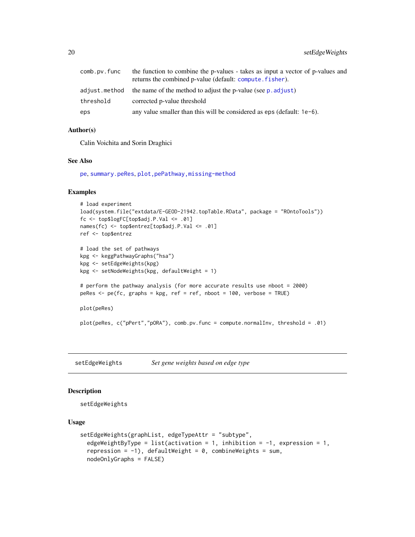<span id="page-19-0"></span>

| comb.pv.func | the function to combine the p-values - takes as input a vector of p-values and<br>returns the combined p-value (default: compute. fisher). |
|--------------|--------------------------------------------------------------------------------------------------------------------------------------------|
|              | adjust. method the name of the method to adjust the p-value (see p. adjust)                                                                |
| threshold    | corrected p-value threshold                                                                                                                |
| eps          | any value smaller than this will be considered as eps (default: $1e-6$ ).                                                                  |

### Author(s)

Calin Voichita and Sorin Draghici

### See Also

[pe](#page-11-1), [summary.peRes](#page-23-1), [plot,pePathway,missing-method](#page-0-0)

# Examples

```
# load experiment
load(system.file("extdata/E-GEOD-21942.topTable.RData", package = "ROntoTools"))
fc <- top$logFC[top$adj.P.Val <= .01]
names(fc) <- top$entrez[top$adj.P.Val <= .01]
ref <- top$entrez
# load the set of pathways
kpg <- keggPathwayGraphs("hsa")
kpg <- setEdgeWeights(kpg)
kpg <- setNodeWeights(kpg, defaultWeight = 1)
# perform the pathway analysis (for more accurate results use nboot = 2000)
peRes \leq pe(fc, graphs = kpg, ref = ref, nboot = 100, verbose = TRUE)
plot(peRes)
plot(peRes, c("pPert","pORA"), comb.pv.func = compute.normalInv, threshold = .01)
```
<span id="page-19-1"></span>setEdgeWeights *Set gene weights based on edge type*

# Description

setEdgeWeights

### Usage

```
setEdgeWeights(graphList, edgeTypeAttr = "subtype",
  edgeWeightByType = list(activation = 1, inhibition = -1, expression = 1,
  repression = -1), defaultWeight = 0, combineWeights = sum,
 nodeOnlyGraphs = FALSE)
```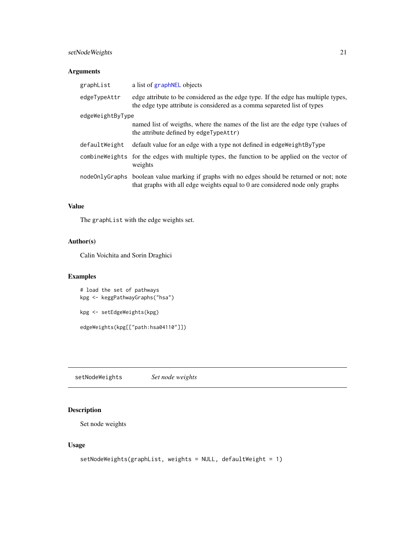# <span id="page-20-0"></span>setNodeWeights 21

# Arguments

| graphList        | a list of graphNEL objects                                                                                                                                                   |
|------------------|------------------------------------------------------------------------------------------------------------------------------------------------------------------------------|
| edgeTypeAttr     | edge attribute to be considered as the edge type. If the edge has multiple types,<br>the edge type attribute is considered as a comma separeted list of types                |
| edgeWeightByType |                                                                                                                                                                              |
|                  | named list of weigths, where the names of the list are the edge type (values of<br>the attribute defined by edgeTypeAttr)                                                    |
| defaultWeight    | default value for an edge with a type not defined in edge Weight By Type                                                                                                     |
|                  | combineweights for the edges with multiple types, the function to be applied on the vector of<br>weights                                                                     |
|                  | nodeOnlyGraphs boolean value marking if graphs with no edges should be returned or not; note<br>that graphs with all edge weights equal to 0 are considered node only graphs |

# Value

The graphList with the edge weights set.

# Author(s)

Calin Voichita and Sorin Draghici

# Examples

# load the set of pathways kpg <- keggPathwayGraphs("hsa")

kpg <- setEdgeWeights(kpg)

edgeWeights(kpg[["path:hsa04110"]])

<span id="page-20-1"></span>setNodeWeights *Set node weights*

# Description

Set node weights

# Usage

```
setNodeWeights(graphList, weights = NULL, defaultWeight = 1)
```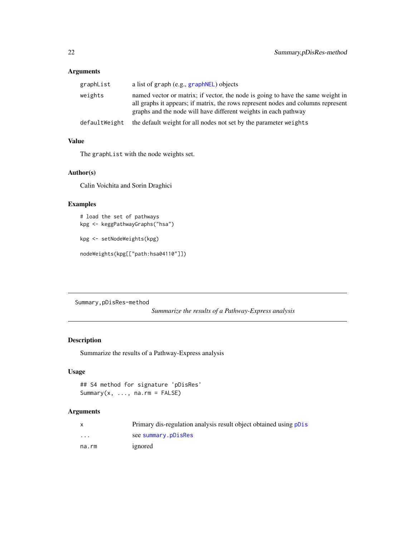# <span id="page-21-0"></span>Arguments

| graphList     | a list of graph (e.g., graphNEL) objects                                                                                                                                                                                               |
|---------------|----------------------------------------------------------------------------------------------------------------------------------------------------------------------------------------------------------------------------------------|
| weights       | named vector or matrix; if vector, the node is going to have the same weight in<br>all graphs it appears; if matrix, the rows represent nodes and columns represent<br>graphs and the node will have different weights in each pathway |
| defaultWeight | the default weight for all nodes not set by the parameter weights                                                                                                                                                                      |

# Value

The graphList with the node weights set.

### Author(s)

Calin Voichita and Sorin Draghici

# Examples

```
# load the set of pathways
kpg <- keggPathwayGraphs("hsa")
```
kpg <- setNodeWeights(kpg)

nodeWeights(kpg[["path:hsa04110"]])

Summary,pDisRes-method

*Summarize the results of a Pathway-Express analysis*

# Description

Summarize the results of a Pathway-Express analysis

# Usage

```
## S4 method for signature 'pDisRes'
Summary(x, \ldots, na.rm = FALSE)
```
# Arguments

|                         | Primary dis-regulation analysis result object obtained using polis |
|-------------------------|--------------------------------------------------------------------|
| $\cdot$ $\cdot$ $\cdot$ | see summary.pDisRes                                                |
| na.rm                   | ignored                                                            |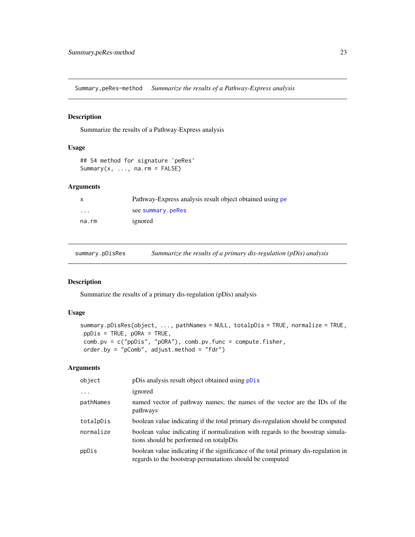<span id="page-22-0"></span>Summary,peRes-method *Summarize the results of a Pathway-Express analysis*

# Description

Summarize the results of a Pathway-Express analysis

# Usage

```
## S4 method for signature 'peRes'
Summary(x, ..., na.rm = FALSE)
```
# Arguments

|                         | Pathway-Express analysis result object obtained using pe |
|-------------------------|----------------------------------------------------------|
| $\cdot$ $\cdot$ $\cdot$ | see summary.peRes                                        |
| na.rm                   | ignored                                                  |

<span id="page-22-1"></span>summary.pDisRes *Summarize the results of a primary dis-regulation (pDis) analysis*

# Description

Summarize the results of a primary dis-regulation (pDis) analysis

# Usage

```
summary.pDisRes(object, ..., pathNames = NULL, totalpDis = TRUE, normalize = TRUE,
ppDis = TRUE, pORA = TRUE,
comb.pv = c("ppDis", "pORA"), comb.pv.func = compute.fisher,
order.by = "pComb", adjust.method = "fdr")
```
# Arguments

| object    | pDis analysis result object obtained using pDis                                                                                                 |
|-----------|-------------------------------------------------------------------------------------------------------------------------------------------------|
| $\cdots$  | ignored                                                                                                                                         |
| pathNames | named vector of pathway names; the names of the vector are the IDs of the<br>pathways                                                           |
| totalpDis | boolean value indicating if the total primary dis-regulation should be computed                                                                 |
| normalize | boolean value indicating if normalization with regards to the boostrap simula-<br>tions should be performed on total                            |
| ppDis     | boolean value indicating if the significance of the total primary dis-regulation in<br>regards to the bootstrap permutations should be computed |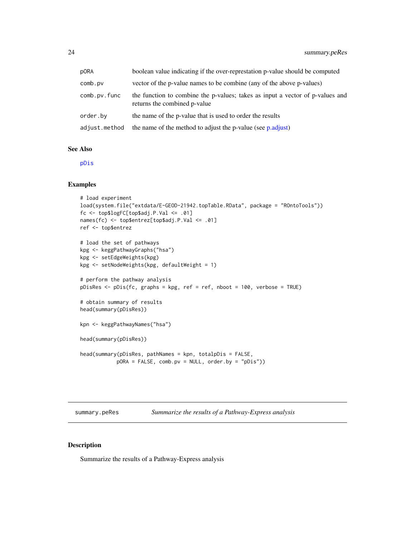<span id="page-23-0"></span>

| p0RA          | boolean value indicating if the over-represtation p-value should be computed                                  |
|---------------|---------------------------------------------------------------------------------------------------------------|
| comb.pv       | vector of the p-value names to be combine (any of the above p-values)                                         |
| comb.pv.func  | the function to combine the p-values; takes as input a vector of p-values and<br>returns the combined p-value |
| order.bv      | the name of the p-value that is used to order the results                                                     |
| adjust.method | the name of the method to adjust the p-value (see p.adjust)                                                   |

# See Also

[pDis](#page-7-1)

### Examples

```
# load experiment
load(system.file("extdata/E-GEOD-21942.topTable.RData", package = "ROntoTools"))
fc <- top$logFC[top$adj.P.Val <= .01]
names(fc) <- top$entrez[top$adj.P.Val <= .01]
ref <- top$entrez
# load the set of pathways
kpg <- keggPathwayGraphs("hsa")
kpg <- setEdgeWeights(kpg)
kpg <- setNodeWeights(kpg, defaultWeight = 1)
# perform the pathway analysis
pDisRes <- pDis(fc, graphs = kpg, ref = ref, nboot = 100, verbose = TRUE)
# obtain summary of results
head(summary(pDisRes))
kpn <- keggPathwayNames("hsa")
head(summary(pDisRes))
head(summary(pDisRes, pathNames = kpn, totalpDis = FALSE,
            pORA = FALSE, comb.pv = NULL, order.by = "pDis"))
```
<span id="page-23-1"></span>summary.peRes *Summarize the results of a Pathway-Express analysis*

### Description

Summarize the results of a Pathway-Express analysis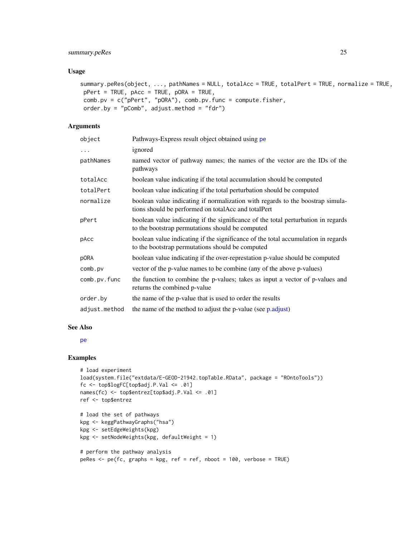# <span id="page-24-0"></span>summary.peRes 25

### Usage

```
summary.peRes(object, ..., pathNames = NULL, totalAcc = TRUE, totalPert = TRUE, normalize = TRUE,
pPert = TRUE, pAcc = TRUE, pORA = TRUE,
comb.pv = c("pPert", "pORA"), comb.pv.func = compute.fisher,
order.by = "pComb", adjust.method = "fdr")
```
# Arguments

| object        | Pathways-Express result object obtained using pe                                                                                        |
|---------------|-----------------------------------------------------------------------------------------------------------------------------------------|
| $\ddots$      | ignored                                                                                                                                 |
| pathNames     | named vector of pathway names; the names of the vector are the IDs of the<br>pathways                                                   |
| totalAcc      | boolean value indicating if the total accumulation should be computed                                                                   |
| totalPert     | boolean value indicating if the total perturbation should be computed                                                                   |
| normalize     | boolean value indicating if normalization with regards to the boostrap simula-<br>tions should be performed on total Acc and total Pert |
| pPert         | boolean value indicating if the significance of the total perturbation in regards<br>to the bootstrap permutations should be computed   |
| pAcc          | boolean value indicating if the significance of the total accumulation in regards<br>to the bootstrap permutations should be computed   |
| p0RA          | boolean value indicating if the over-represtation p-value should be computed                                                            |
| comb.pv       | vector of the p-value names to be combine (any of the above p-values)                                                                   |
| comb.pv.func  | the function to combine the p-values; takes as input a vector of p-values and<br>returns the combined p-value                           |
| order.by      | the name of the p-value that is used to order the results                                                                               |
| adjust.method | the name of the method to adjust the p-value (see p.adjust)                                                                             |

### See Also

### [pe](#page-11-1)

### Examples

```
# load experiment
load(system.file("extdata/E-GEOD-21942.topTable.RData", package = "ROntoTools"))
fc <- top$logFC[top$adj.P.Val <= .01]
names(fc) <- top$entrez[top$adj.P.Val <= .01]
ref <- top$entrez
# load the set of pathways
kpg <- keggPathwayGraphs("hsa")
kpg <- setEdgeWeights(kpg)
```

```
# perform the pathway analysis
```
kpg <- setNodeWeights(kpg, defaultWeight = 1)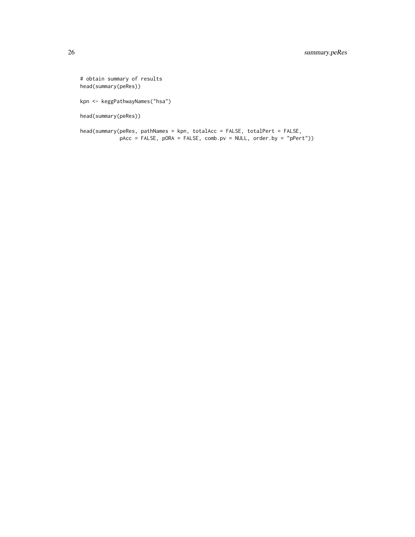# obtain summary of results head(summary(peRes)) kpn <- keggPathwayNames("hsa") head(summary(peRes))

head(summary(peRes, pathNames = kpn, totalAcc = FALSE, totalPert = FALSE, pAcc = FALSE, pORA = FALSE, comb.pv = NULL, order.by = "pPert"))